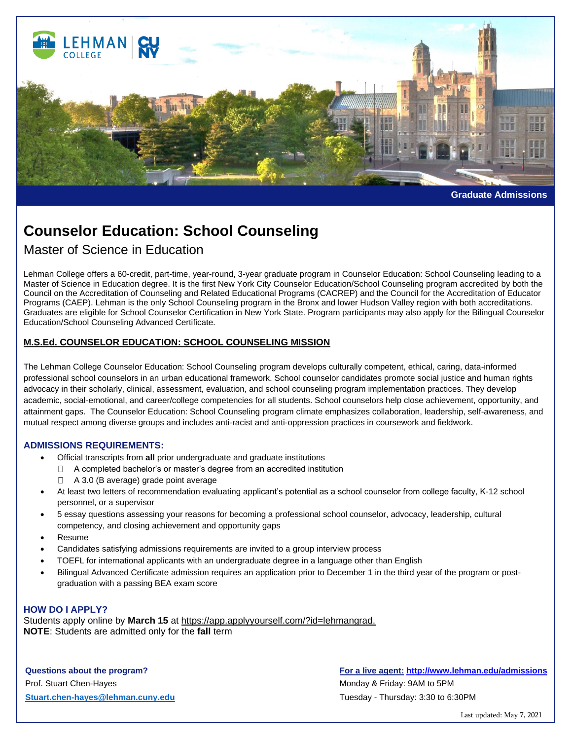

**Graduate Admissions**

# **Counselor Education: School Counseling**

# Master of Science in Education

Lehman College offers a 60-credit, part-time, year-round, 3-year graduate program in Counselor Education: School Counseling leading to a Master of Science in Education degree. It is the first New York City Counselor Education/School Counseling program accredited by both the Council on the Accreditation of Counseling and Related Educational Programs (CACREP) and the Council for the Accreditation of Educator Programs (CAEP). Lehman is the only School Counseling program in the Bronx and lower Hudson Valley region with both accreditations. Graduates are eligible for School Counselor Certification in New York State. Program participants may also apply for the Bilingual Counselor Education/School Counseling Advanced Certificate.

## **M.S.Ed. COUNSELOR EDUCATION: SCHOOL COUNSELING MISSION**

The Lehman College Counselor Education: School Counseling program develops culturally competent, ethical, caring, data-informed professional school counselors in an urban educational framework. School counselor candidates promote social justice and human rights advocacy in their scholarly, clinical, assessment, evaluation, and school counseling program implementation practices. They develop academic, social-emotional, and career/college competencies for all students. School counselors help close achievement, opportunity, and attainment gaps. The Counselor Education: School Counseling program climate emphasizes collaboration, leadership, self-awareness, and mutual respect among diverse groups and includes anti-racist and anti-oppression practices in coursework and fieldwork.

### **ADMISSIONS REQUIREMENTS:**

- Official transcripts from **all** prior undergraduate and graduate institutions
	- □ A completed bachelor's or master's degree from an accredited institution
	- $\Box$  A 3.0 (B average) grade point average
- At least two letters of recommendation evaluating applicant's potential as a school counselor from college faculty, K-12 school personnel, or a supervisor
- 5 essay questions assessing your reasons for becoming a professional school counselor, advocacy, leadership, cultural competency, and closing achievement and opportunity gaps
- Resume
- Candidates satisfying admissions requirements are invited to a group interview process
- TOEFL for international applicants with an undergraduate degree in a language other than English
- Bilingual Advanced Certificate admission requires an application prior to December 1 in the third year of the program or postgraduation with a passing BEA exam score

#### **HOW DO I APPLY?**

Students apply online by **March 15** at https://app.applyyourself.com/?id=lehmangrad. **NOTE**: Students are admitted only for the **fall** term

Prof. Stuart Chen-Hayes **Monday & Friday: 9AM to 5PM [Stuart.chen-hayes@lehman.cuny.edu](mailto:Stuart.chen-hayes@lehman.cuny.edu)** Tuesday - Thursday: 3:30 to 6:30PM

## **Questions about the program? For a live agent: <http://www.lehman.edu/admissions>**